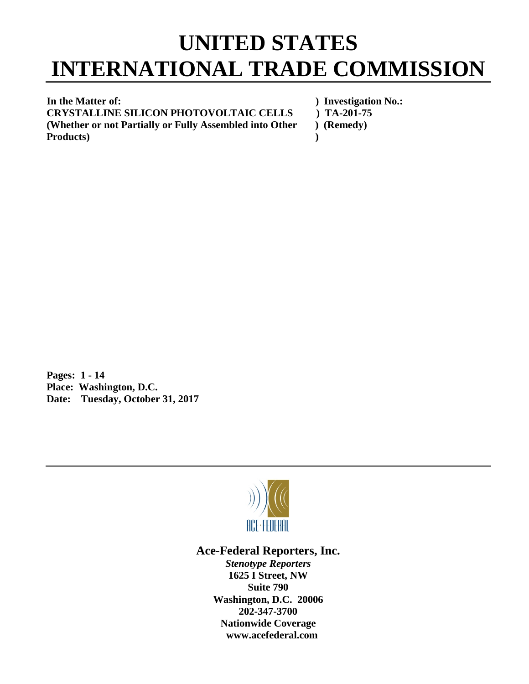## **UNITED STATES INTERNATIONAL TRADE COMMISSION**

**In the Matter of:** ) Investigation No.: **CRYSTALLINE SILICON PHOTOVOLTAIC CELLS ) TA-201-75 (Whether or not Partially or Fully Assembled into Other ) (Remedy) Products) )** 

**Pages: 1 - 14 Place: Washington, D.C. Date: Tuesday, October 31, 2017**



## **Ace-Federal Reporters, Inc.**

*Stenotype Reporters* **1625 I Street, NW Suite 790 Washington, D.C. 20006 202-347-3700 Nationwide Coverage www.acefederal.com**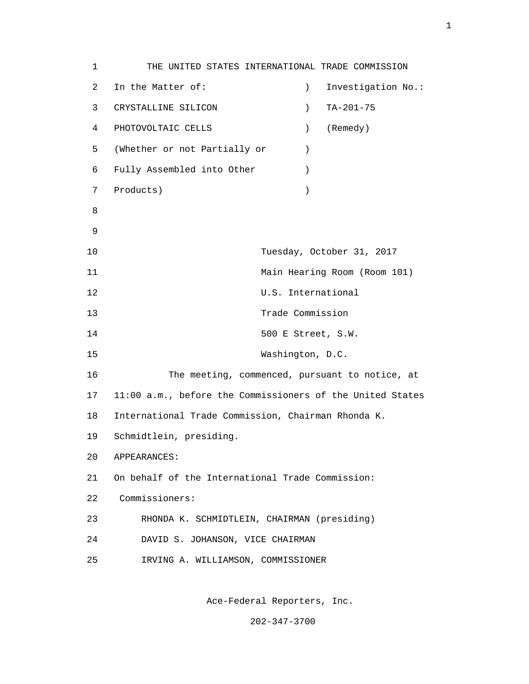1 THE UNITED STATES INTERNATIONAL TRADE COMMISSION 2 In the Matter of: ) Investigation No.: 3 CRYSTALLINE SILICON ) TA-201-75 4 PHOTOVOLTAIC CELLS ) (Remedy) 5 (Whether or not Partially or ) 6 Fully Assembled into Other ) 7 Products) ) e a seu ann an 1882. Bha an 1892 an 1892 an 1892 an 1892 an 1892. Bha an 1892 an 1892 an 1892 an 1892 an 1892 9 10 Tuesday, October 31, 2017 11 Main Hearing Room (Room 101) 12 U.S. International 13 Trade Commission 14 500 E Street, S.W. 15 Washington, D.C. 16 The meeting, commenced, pursuant to notice, at 17 11:00 a.m., before the Commissioners of the United States 18 International Trade Commission, Chairman Rhonda K. 19 Schmidtlein, presiding. 20 APPEARANCES: 21 On behalf of the International Trade Commission: 22 Commissioners: 23 RHONDA K. SCHMIDTLEIN, CHAIRMAN (presiding) 24 DAVID S. JOHANSON, VICE CHAIRMAN 25 IRVING A. WILLIAMSON, COMMISSIONER

Ace-Federal Reporters, Inc.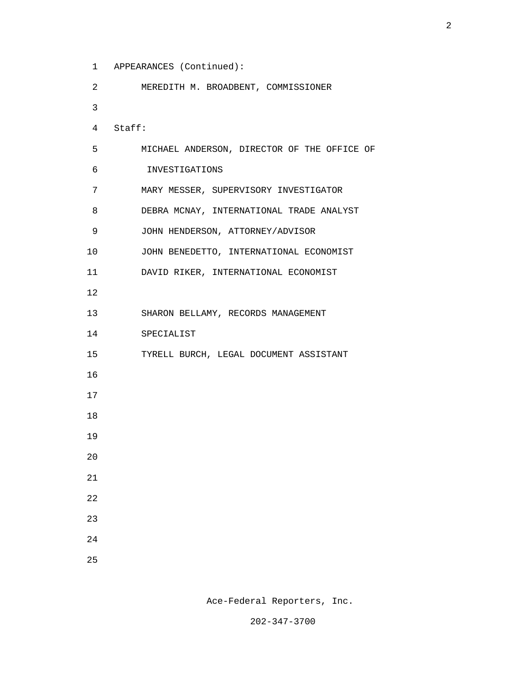1 APPEARANCES (Continued):

| 2        | MEREDITH M. BROADBENT, COMMISSIONER         |
|----------|---------------------------------------------|
| 3        |                                             |
| 4 Staff: |                                             |
| 5        | MICHAEL ANDERSON, DIRECTOR OF THE OFFICE OF |
| 6        | INVESTIGATIONS                              |
| 7        | MARY MESSER, SUPERVISORY INVESTIGATOR       |
| 8        | DEBRA MCNAY, INTERNATIONAL TRADE ANALYST    |
| 9        | JOHN HENDERSON, ATTORNEY/ADVISOR            |
| 10       | JOHN BENEDETTO, INTERNATIONAL ECONOMIST     |
| 11       | DAVID RIKER, INTERNATIONAL ECONOMIST        |
| 12       |                                             |
| 13       | SHARON BELLAMY, RECORDS MANAGEMENT          |
| 14       | SPECIALIST                                  |
| 15       | TYRELL BURCH, LEGAL DOCUMENT ASSISTANT      |
| 16       |                                             |
| 17       |                                             |
| 18       |                                             |
| 19       |                                             |
| 20       |                                             |
| $21\,$   |                                             |
| 22       |                                             |
| 23       |                                             |
| 24       |                                             |
| 25       |                                             |

Ace-Federal Reporters, Inc.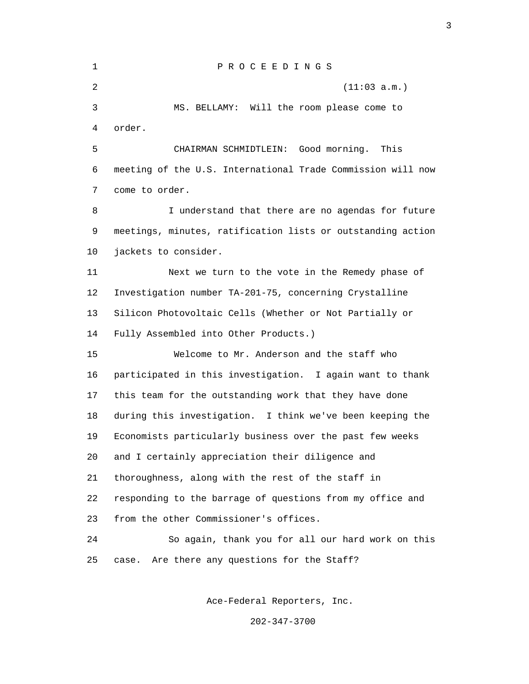| 1  | PROCEEDINGS                                                 |
|----|-------------------------------------------------------------|
| 2  | (11:03 a.m.)                                                |
| 3  | MS. BELLAMY: Will the room please come to                   |
| 4  | order.                                                      |
| 5  | CHAIRMAN SCHMIDTLEIN: Good morning.<br>This                 |
| 6  | meeting of the U.S. International Trade Commission will now |
| 7  | come to order.                                              |
| 8  | I understand that there are no agendas for future           |
| 9  | meetings, minutes, ratification lists or outstanding action |
| 10 | jackets to consider.                                        |
| 11 | Next we turn to the vote in the Remedy phase of             |
| 12 | Investigation number TA-201-75, concerning Crystalline      |
| 13 | Silicon Photovoltaic Cells (Whether or Not Partially or     |
| 14 | Fully Assembled into Other Products.)                       |
| 15 | Welcome to Mr. Anderson and the staff who                   |
| 16 | participated in this investigation. I again want to thank   |
| 17 | this team for the outstanding work that they have done      |
| 18 | during this investigation. I think we've been keeping the   |
| 19 | Economists particularly business over the past few weeks    |
| 20 | and I certainly appreciation their diligence and            |
| 21 | thoroughness, along with the rest of the staff in           |
| 22 | responding to the barrage of questions from my office and   |
| 23 | from the other Commissioner's offices.                      |
| 24 | So again, thank you for all our hard work on this           |
| 25 | Are there any questions for the Staff?<br>case.             |

Ace-Federal Reporters, Inc.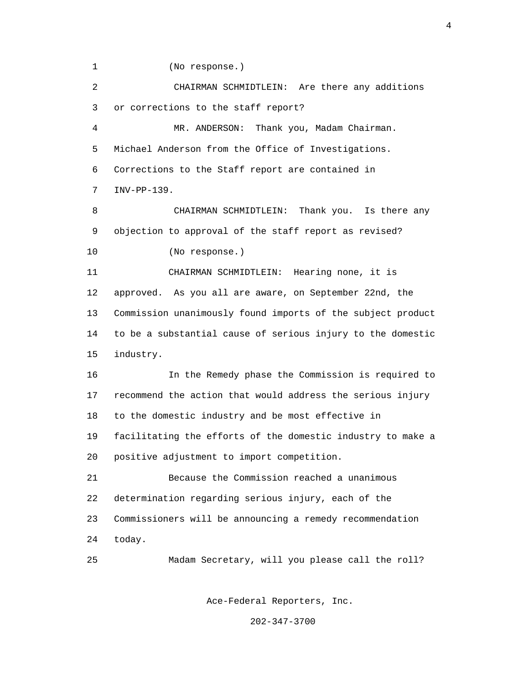1 (No response.)

 2 CHAIRMAN SCHMIDTLEIN: Are there any additions 3 or corrections to the staff report?

 4 MR. ANDERSON: Thank you, Madam Chairman. 5 Michael Anderson from the Office of Investigations. 6 Corrections to the Staff report are contained in 7 INV-PP-139.

 8 CHAIRMAN SCHMIDTLEIN: Thank you. Is there any 9 objection to approval of the staff report as revised? 10 (No response.)

 11 CHAIRMAN SCHMIDTLEIN: Hearing none, it is 12 approved. As you all are aware, on September 22nd, the 13 Commission unanimously found imports of the subject product 14 to be a substantial cause of serious injury to the domestic 15 industry.

 16 In the Remedy phase the Commission is required to 17 recommend the action that would address the serious injury 18 to the domestic industry and be most effective in 19 facilitating the efforts of the domestic industry to make a 20 positive adjustment to import competition.

 21 Because the Commission reached a unanimous 22 determination regarding serious injury, each of the 23 Commissioners will be announcing a remedy recommendation 24 today.

25 Madam Secretary, will you please call the roll?

Ace-Federal Reporters, Inc.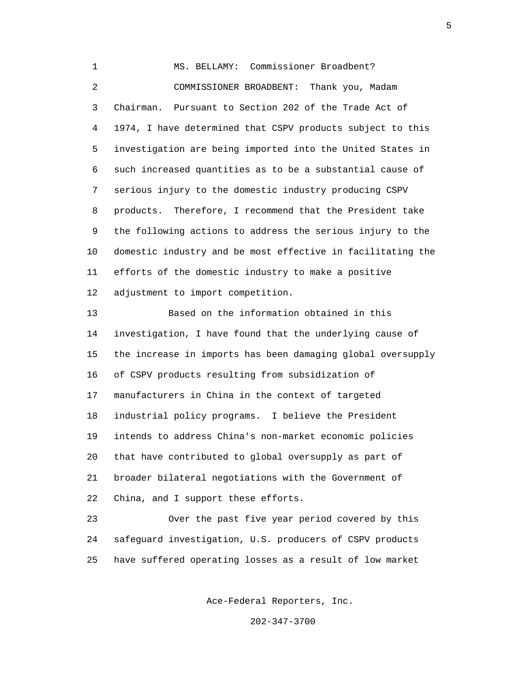1 MS. BELLAMY: Commissioner Broadbent? 2 COMMISSIONER BROADBENT: Thank you, Madam 3 Chairman. Pursuant to Section 202 of the Trade Act of 4 1974, I have determined that CSPV products subject to this 5 investigation are being imported into the United States in 6 such increased quantities as to be a substantial cause of 7 serious injury to the domestic industry producing CSPV 8 products. Therefore, I recommend that the President take 9 the following actions to address the serious injury to the 10 domestic industry and be most effective in facilitating the 11 efforts of the domestic industry to make a positive 12 adjustment to import competition.

 13 Based on the information obtained in this 14 investigation, I have found that the underlying cause of 15 the increase in imports has been damaging global oversupply 16 of CSPV products resulting from subsidization of 17 manufacturers in China in the context of targeted 18 industrial policy programs. I believe the President 19 intends to address China's non-market economic policies 20 that have contributed to global oversupply as part of 21 broader bilateral negotiations with the Government of 22 China, and I support these efforts.

 23 Over the past five year period covered by this 24 safeguard investigation, U.S. producers of CSPV products 25 have suffered operating losses as a result of low market

Ace-Federal Reporters, Inc.

202-347-3700

the contract of the contract of the contract of the contract of the contract of the contract of the contract of the contract of the contract of the contract of the contract of the contract of the contract of the contract o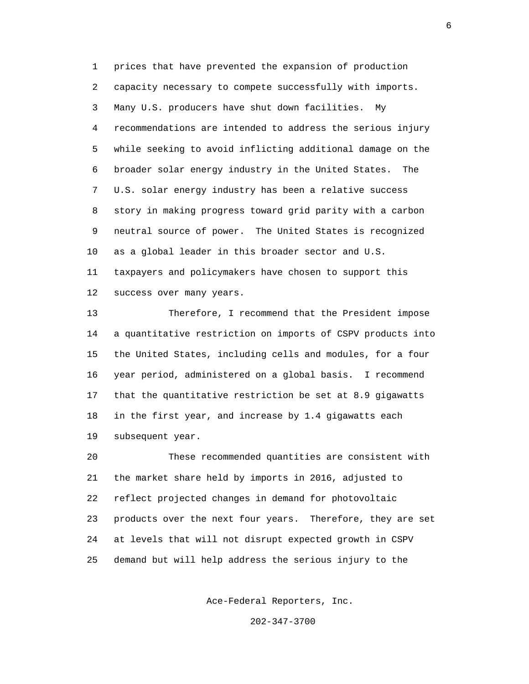1 prices that have prevented the expansion of production 2 capacity necessary to compete successfully with imports. 3 Many U.S. producers have shut down facilities. My 4 recommendations are intended to address the serious injury 5 while seeking to avoid inflicting additional damage on the 6 broader solar energy industry in the United States. The 7 U.S. solar energy industry has been a relative success 8 story in making progress toward grid parity with a carbon 9 neutral source of power. The United States is recognized 10 as a global leader in this broader sector and U.S. 11 taxpayers and policymakers have chosen to support this 12 success over many years.

 13 Therefore, I recommend that the President impose 14 a quantitative restriction on imports of CSPV products into 15 the United States, including cells and modules, for a four 16 year period, administered on a global basis. I recommend 17 that the quantitative restriction be set at 8.9 gigawatts 18 in the first year, and increase by 1.4 gigawatts each 19 subsequent year.

 20 These recommended quantities are consistent with 21 the market share held by imports in 2016, adjusted to 22 reflect projected changes in demand for photovoltaic 23 products over the next four years. Therefore, they are set 24 at levels that will not disrupt expected growth in CSPV 25 demand but will help address the serious injury to the

Ace-Federal Reporters, Inc.

202-347-3700

 $\sim$  6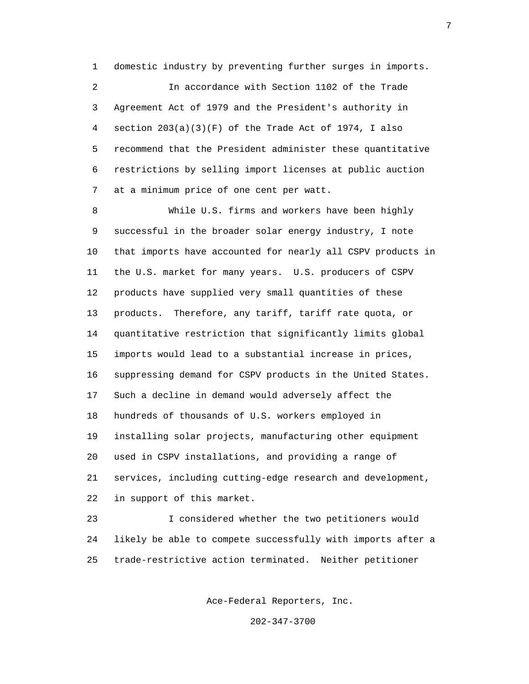1 domestic industry by preventing further surges in imports.

 2 In accordance with Section 1102 of the Trade 3 Agreement Act of 1979 and the President's authority in 4 section 203(a)(3)(F) of the Trade Act of 1974, I also 5 recommend that the President administer these quantitative 6 restrictions by selling import licenses at public auction 7 at a minimum price of one cent per watt.

 8 While U.S. firms and workers have been highly 9 successful in the broader solar energy industry, I note 10 that imports have accounted for nearly all CSPV products in 11 the U.S. market for many years. U.S. producers of CSPV 12 products have supplied very small quantities of these 13 products. Therefore, any tariff, tariff rate quota, or 14 quantitative restriction that significantly limits global 15 imports would lead to a substantial increase in prices, 16 suppressing demand for CSPV products in the United States. 17 Such a decline in demand would adversely affect the 18 hundreds of thousands of U.S. workers employed in 19 installing solar projects, manufacturing other equipment 20 used in CSPV installations, and providing a range of 21 services, including cutting-edge research and development, 22 in support of this market.

 23 I considered whether the two petitioners would 24 likely be able to compete successfully with imports after a 25 trade-restrictive action terminated. Neither petitioner

Ace-Federal Reporters, Inc.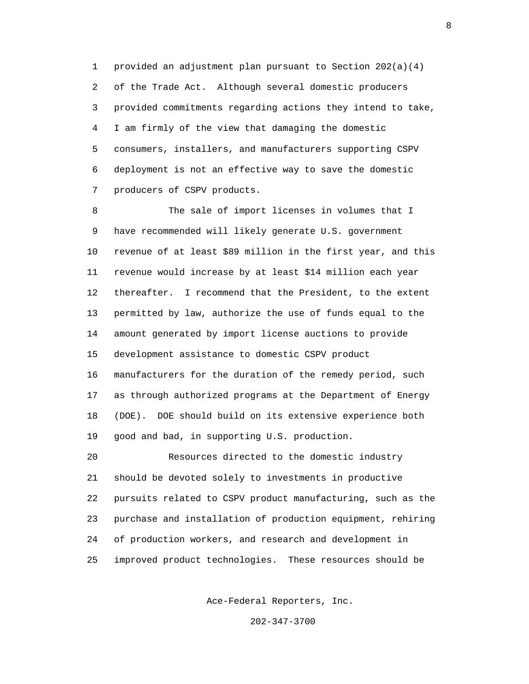1 provided an adjustment plan pursuant to Section 202(a)(4) 2 of the Trade Act. Although several domestic producers 3 provided commitments regarding actions they intend to take, 4 I am firmly of the view that damaging the domestic 5 consumers, installers, and manufacturers supporting CSPV 6 deployment is not an effective way to save the domestic 7 producers of CSPV products.

 8 The sale of import licenses in volumes that I 9 have recommended will likely generate U.S. government 10 revenue of at least \$89 million in the first year, and this 11 revenue would increase by at least \$14 million each year 12 thereafter. I recommend that the President, to the extent 13 permitted by law, authorize the use of funds equal to the 14 amount generated by import license auctions to provide 15 development assistance to domestic CSPV product 16 manufacturers for the duration of the remedy period, such 17 as through authorized programs at the Department of Energy 18 (DOE). DOE should build on its extensive experience both 19 good and bad, in supporting U.S. production.

 20 Resources directed to the domestic industry 21 should be devoted solely to investments in productive 22 pursuits related to CSPV product manufacturing, such as the 23 purchase and installation of production equipment, rehiring 24 of production workers, and research and development in 25 improved product technologies. These resources should be

Ace-Federal Reporters, Inc.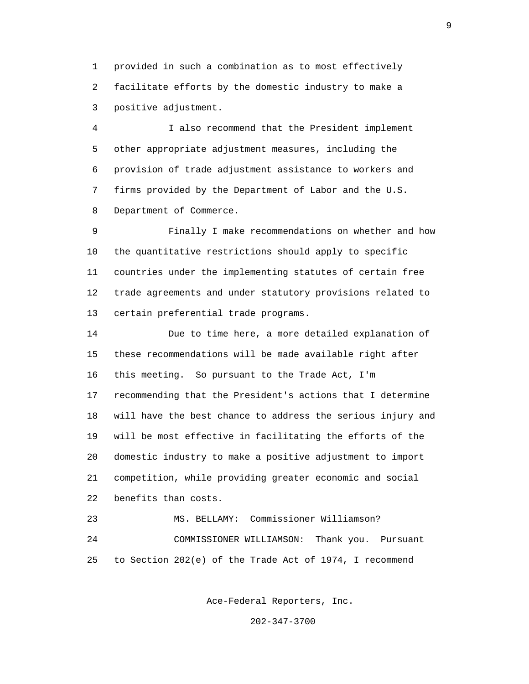1 provided in such a combination as to most effectively 2 facilitate efforts by the domestic industry to make a 3 positive adjustment.

 4 I also recommend that the President implement 5 other appropriate adjustment measures, including the 6 provision of trade adjustment assistance to workers and 7 firms provided by the Department of Labor and the U.S. 8 Department of Commerce.

 9 Finally I make recommendations on whether and how 10 the quantitative restrictions should apply to specific 11 countries under the implementing statutes of certain free 12 trade agreements and under statutory provisions related to 13 certain preferential trade programs.

 14 Due to time here, a more detailed explanation of 15 these recommendations will be made available right after 16 this meeting. So pursuant to the Trade Act, I'm 17 recommending that the President's actions that I determine 18 will have the best chance to address the serious injury and 19 will be most effective in facilitating the efforts of the 20 domestic industry to make a positive adjustment to import 21 competition, while providing greater economic and social 22 benefits than costs.

 23 MS. BELLAMY: Commissioner Williamson? 24 COMMISSIONER WILLIAMSON: Thank you. Pursuant 25 to Section 202(e) of the Trade Act of 1974, I recommend

Ace-Federal Reporters, Inc.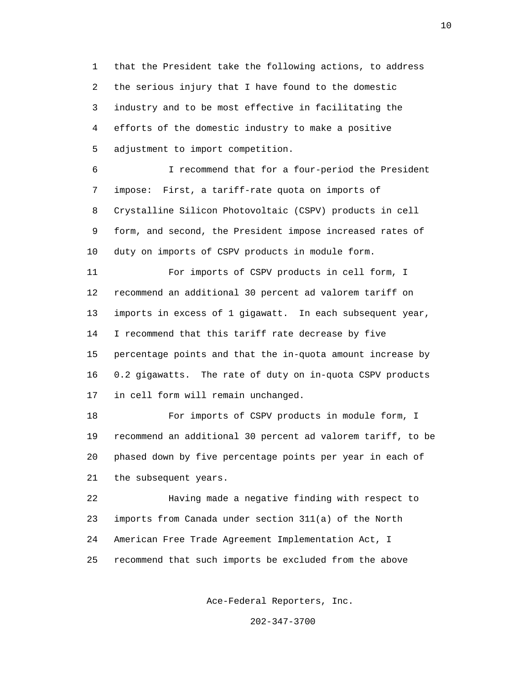1 that the President take the following actions, to address 2 the serious injury that I have found to the domestic 3 industry and to be most effective in facilitating the 4 efforts of the domestic industry to make a positive 5 adjustment to import competition.

 6 I recommend that for a four-period the President 7 impose: First, a tariff-rate quota on imports of 8 Crystalline Silicon Photovoltaic (CSPV) products in cell 9 form, and second, the President impose increased rates of 10 duty on imports of CSPV products in module form.

 11 For imports of CSPV products in cell form, I 12 recommend an additional 30 percent ad valorem tariff on 13 imports in excess of 1 gigawatt. In each subsequent year, 14 I recommend that this tariff rate decrease by five 15 percentage points and that the in-quota amount increase by 16 0.2 gigawatts. The rate of duty on in-quota CSPV products 17 in cell form will remain unchanged.

 18 For imports of CSPV products in module form, I 19 recommend an additional 30 percent ad valorem tariff, to be 20 phased down by five percentage points per year in each of 21 the subsequent years.

 22 Having made a negative finding with respect to 23 imports from Canada under section 311(a) of the North 24 American Free Trade Agreement Implementation Act, I 25 recommend that such imports be excluded from the above

Ace-Federal Reporters, Inc.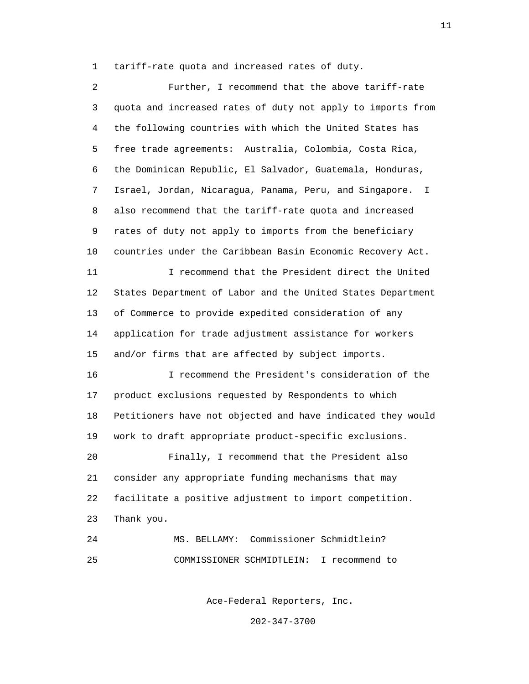1 tariff-rate quota and increased rates of duty.

 2 Further, I recommend that the above tariff-rate 3 quota and increased rates of duty not apply to imports from 4 the following countries with which the United States has 5 free trade agreements: Australia, Colombia, Costa Rica, 6 the Dominican Republic, El Salvador, Guatemala, Honduras, 7 Israel, Jordan, Nicaragua, Panama, Peru, and Singapore. I 8 also recommend that the tariff-rate quota and increased 9 rates of duty not apply to imports from the beneficiary 10 countries under the Caribbean Basin Economic Recovery Act. 11 I recommend that the President direct the United 12 States Department of Labor and the United States Department 13 of Commerce to provide expedited consideration of any 14 application for trade adjustment assistance for workers 15 and/or firms that are affected by subject imports. 16 I recommend the President's consideration of the 17 product exclusions requested by Respondents to which 18 Petitioners have not objected and have indicated they would 19 work to draft appropriate product-specific exclusions. 20 Finally, I recommend that the President also 21 consider any appropriate funding mechanisms that may 22 facilitate a positive adjustment to import competition. 23 Thank you. 24 MS. BELLAMY: Commissioner Schmidtlein? 25 COMMISSIONER SCHMIDTLEIN: I recommend to

Ace-Federal Reporters, Inc.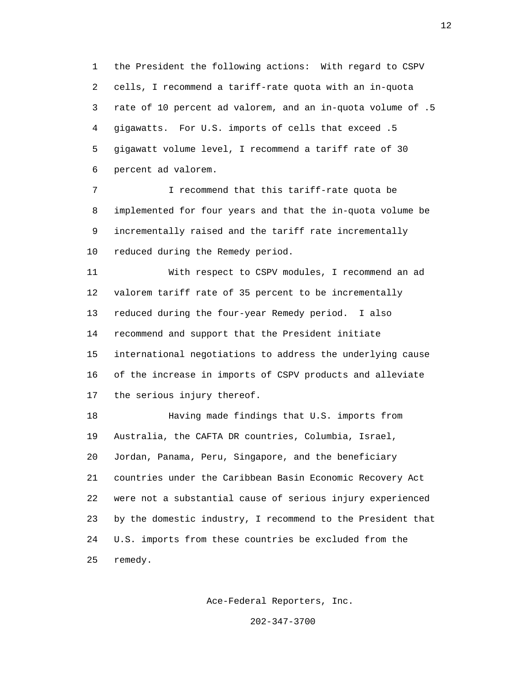1 the President the following actions: With regard to CSPV 2 cells, I recommend a tariff-rate quota with an in-quota 3 rate of 10 percent ad valorem, and an in-quota volume of .5 4 gigawatts. For U.S. imports of cells that exceed .5 5 gigawatt volume level, I recommend a tariff rate of 30 6 percent ad valorem.

7 **I** recommend that this tariff-rate quota be 8 implemented for four years and that the in-quota volume be 9 incrementally raised and the tariff rate incrementally 10 reduced during the Remedy period.

 11 With respect to CSPV modules, I recommend an ad 12 valorem tariff rate of 35 percent to be incrementally 13 reduced during the four-year Remedy period. I also 14 recommend and support that the President initiate 15 international negotiations to address the underlying cause 16 of the increase in imports of CSPV products and alleviate 17 the serious injury thereof.

 18 Having made findings that U.S. imports from 19 Australia, the CAFTA DR countries, Columbia, Israel, 20 Jordan, Panama, Peru, Singapore, and the beneficiary 21 countries under the Caribbean Basin Economic Recovery Act 22 were not a substantial cause of serious injury experienced 23 by the domestic industry, I recommend to the President that 24 U.S. imports from these countries be excluded from the 25 remedy.

Ace-Federal Reporters, Inc.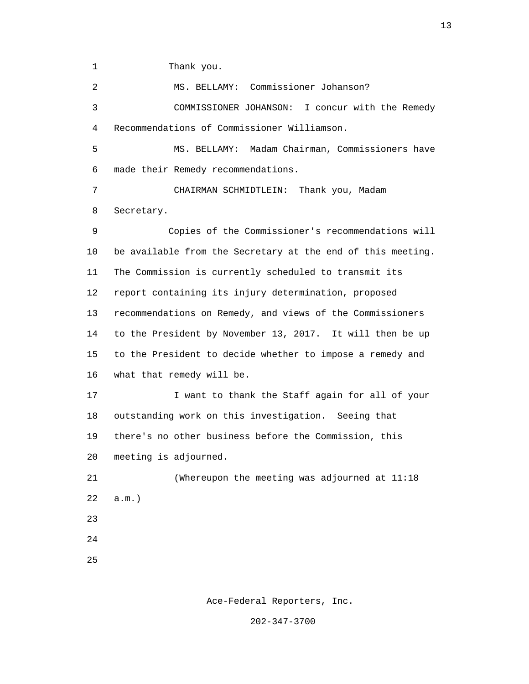1 Thank you.

 2 MS. BELLAMY: Commissioner Johanson? 3 COMMISSIONER JOHANSON: I concur with the Remedy 4 Recommendations of Commissioner Williamson. 5 MS. BELLAMY: Madam Chairman, Commissioners have 6 made their Remedy recommendations. 7 CHAIRMAN SCHMIDTLEIN: Thank you, Madam 8 Secretary. 9 Copies of the Commissioner's recommendations will 10 be available from the Secretary at the end of this meeting. 11 The Commission is currently scheduled to transmit its 12 report containing its injury determination, proposed 13 recommendations on Remedy, and views of the Commissioners 14 to the President by November 13, 2017. It will then be up 15 to the President to decide whether to impose a remedy and 16 what that remedy will be. 17 **I** want to thank the Staff again for all of your 18 outstanding work on this investigation. Seeing that 19 there's no other business before the Commission, this 20 meeting is adjourned. 21 (Whereupon the meeting was adjourned at 11:18 22 a.m.) 23 24 <u>25</u>

Ace-Federal Reporters, Inc.